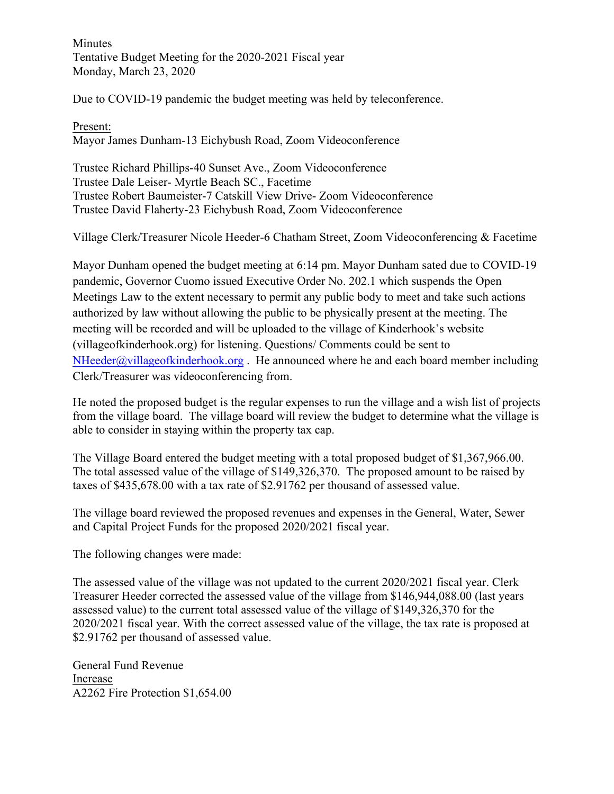Minutes Tentative Budget Meeting for the 2020-2021 Fiscal year Monday, March 23, 2020

Due to COVID-19 pandemic the budget meeting was held by teleconference.

Present: Mayor James Dunham-13 Eichybush Road, Zoom Videoconference

Trustee Richard Phillips-40 Sunset Ave., Zoom Videoconference Trustee Dale Leiser- Myrtle Beach SC., Facetime Trustee Robert Baumeister-7 Catskill View Drive- Zoom Videoconference Trustee David Flaherty-23 Eichybush Road, Zoom Videoconference

Village Clerk/Treasurer Nicole Heeder-6 Chatham Street, Zoom Videoconferencing & Facetime

Mayor Dunham opened the budget meeting at 6:14 pm. Mayor Dunham sated due to COVID-19 pandemic, Governor Cuomo issued Executive Order No. 202.1 which suspends the Open Meetings Law to the extent necessary to permit any public body to meet and take such actions authorized by law without allowing the public to be physically present at the meeting. The meeting will be recorded and will be uploaded to the village of Kinderhook's website (villageofkinderhook.org) for listening. Questions/ Comments could be sent to  $NHeeder(\omega$ villageofkinderhook.org. He announced where he and each board member including Clerk/Treasurer was videoconferencing from.

He noted the proposed budget is the regular expenses to run the village and a wish list of projects from the village board. The village board will review the budget to determine what the village is able to consider in staying within the property tax cap.

The Village Board entered the budget meeting with a total proposed budget of \$1,367,966.00. The total assessed value of the village of \$149,326,370. The proposed amount to be raised by taxes of \$435,678.00 with a tax rate of \$2.91762 per thousand of assessed value.

The village board reviewed the proposed revenues and expenses in the General, Water, Sewer and Capital Project Funds for the proposed 2020/2021 fiscal year.

The following changes were made:

The assessed value of the village was not updated to the current 2020/2021 fiscal year. Clerk Treasurer Heeder corrected the assessed value of the village from \$146,944,088.00 (last years assessed value) to the current total assessed value of the village of \$149,326,370 for the 2020/2021 fiscal year. With the correct assessed value of the village, the tax rate is proposed at \$2.91762 per thousand of assessed value.

General Fund Revenue Increase A2262 Fire Protection \$1,654.00